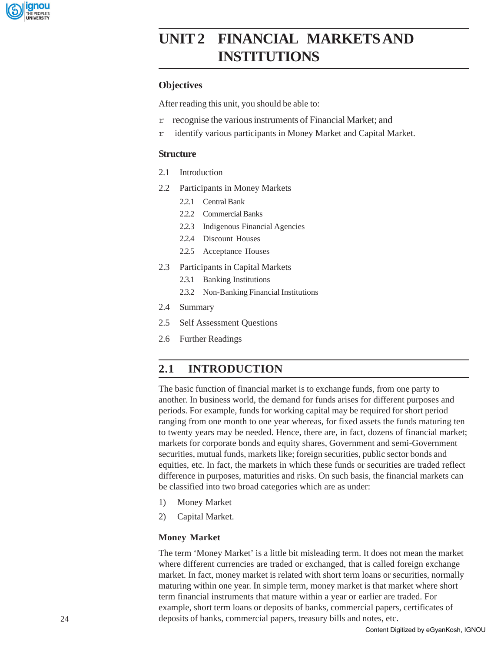

# **Markets and Services UNIT 2 FINANCIAL MARKETS AND INSTITUTIONS**

## **Objectives**

After reading this unit, you should be able to:

- r recognise the various instruments of Financial Market; and
- r identify various participants in Money Market and Capital Market.

### **Structure**

- 2.1 Introduction
- 2.2 Participants in Money Markets
	- 2.2.1 Central Bank
	- 2.2.2 Commercial Banks
	- 2.2.3 Indigenous Financial Agencies
	- 2.2.4 Discount Houses
	- 2.2.5 Acceptance Houses
- 2.3 Participants in Capital Markets
	- 2.3.1 Banking Institutions
	- 2.3.2 Non-Banking Financial Institutions
- 2.4 Summary
- 2.5 Self Assessment Questions
- 2.6 Further Readings

## **2.1 INTRODUCTION**

The basic function of financial market is to exchange funds, from one party to another. In business world, the demand for funds arises for different purposes and periods. For example, funds for working capital may be required for short period ranging from one month to one year whereas, for fixed assets the funds maturing ten to twenty years may be needed. Hence, there are, in fact, dozens of financial market; markets for corporate bonds and equity shares, Government and semi-Government securities, mutual funds, markets like; foreign securities, public sector bonds and equities, etc. In fact, the markets in which these funds or securities are traded reflect difference in purposes, maturities and risks. On such basis, the financial markets can be classified into two broad categories which are as under:

- 1) Money Market
- 2) Capital Market.

## **Money Market**

The term 'Money Market' is a little bit misleading term. It does not mean the market where different currencies are traded or exchanged, that is called foreign exchange market. In fact, money market is related with short term loans or securities, normally maturing within one year. In simple term, money market is that market where short term financial instruments that mature within a year or earlier are traded. For example, short term loans or deposits of banks, commercial papers, certificates of deposits of banks, commercial papers, treasury bills and notes, etc.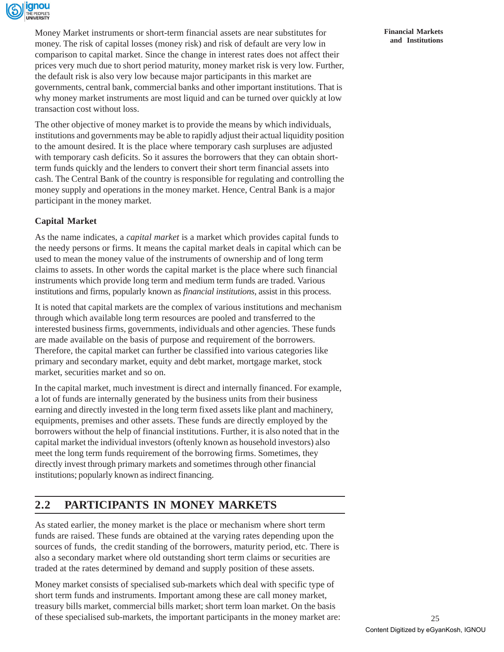

Money Market instruments or short-term financial assets are near substitutes for money. The risk of capital losses (money risk) and risk of default are very low in comparison to capital market. Since the change in interest rates does not affect their prices very much due to short period maturity, money market risk is very low. Further, the default risk is also very low because major participants in this market are governments, central bank, commercial banks and other important institutions. That is why money market instruments are most liquid and can be turned over quickly at low transaction cost without loss.

The other objective of money market is to provide the means by which individuals, institutions and governments may be able to rapidly adjust their actual liquidity position to the amount desired. It is the place where temporary cash surpluses are adjusted with temporary cash deficits. So it assures the borrowers that they can obtain shortterm funds quickly and the lenders to convert their short term financial assets into cash. The Central Bank of the country is responsible for regulating and controlling the money supply and operations in the money market. Hence, Central Bank is a major participant in the money market.

## **Capital Market**

As the name indicates, a *capital market* is a market which provides capital funds to the needy persons or firms. It means the capital market deals in capital which can be used to mean the money value of the instruments of ownership and of long term claims to assets. In other words the capital market is the place where such financial instruments which provide long term and medium term funds are traded. Various institutions and firms, popularly known as *financial institutions,* assist in this process.

It is noted that capital markets are the complex of various institutions and mechanism through which available long term resources are pooled and transferred to the interested business firms, governments, individuals and other agencies. These funds are made available on the basis of purpose and requirement of the borrowers. Therefore, the capital market can further be classified into various categories like primary and secondary market, equity and debt market, mortgage market, stock market, securities market and so on.

In the capital market, much investment is direct and internally financed. For example, a lot of funds are internally generated by the business units from their business earning and directly invested in the long term fixed assets like plant and machinery, equipments, premises and other assets. These funds are directly employed by the borrowers without the help of financial institutions. Further, it is also noted that in the capital market the individual investors (oftenly known as household investors) also meet the long term funds requirement of the borrowing firms. Sometimes, they directly invest through primary markets and sometimes through other financial institutions; popularly known as indirect financing.

## **2.2 PARTICIPANTS IN MONEY MARKETS**

As stated earlier, the money market is the place or mechanism where short term funds are raised. These funds are obtained at the varying rates depending upon the sources of funds, the credit standing of the borrowers, maturity period, etc. There is also a secondary market where old outstanding short term claims or securities are traded at the rates determined by demand and supply position of these assets.

Money market consists of specialised sub-markets which deal with specific type of short term funds and instruments. Important among these are call money market, treasury bills market, commercial bills market; short term loan market. On the basis of these specialised sub-markets, the important participants in the money market are: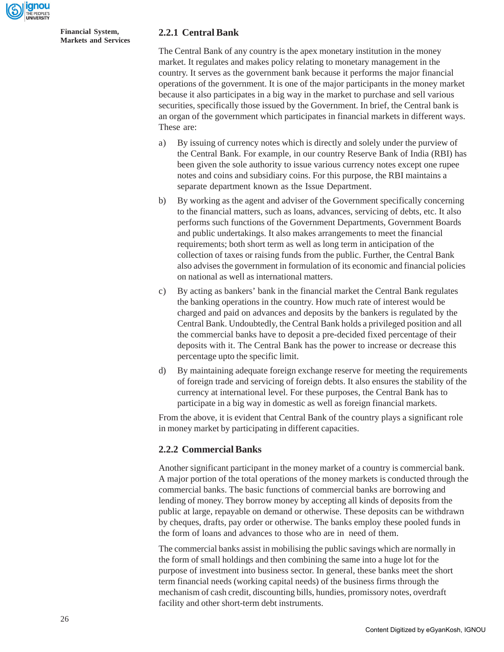

## **2.2.1 Central Bank**

The Central Bank of any country is the apex monetary institution in the money market. It regulates and makes policy relating to monetary management in the country. It serves as the government bank because it performs the major financial operations of the government. It is one of the major participants in the money market because it also participates in a big way in the market to purchase and sell various securities, specifically those issued by the Government. In brief, the Central bank is an organ of the government which participates in financial markets in different ways. These are:

- a) By issuing of currency notes which is directly and solely under the purview of the Central Bank. For example, in our country Reserve Bank of India (RBI) has been given the sole authority to issue various currency notes except one rupee notes and coins and subsidiary coins. For this purpose, the RBI maintains a separate department known as the Issue Department.
- b) By working as the agent and adviser of the Government specifically concerning to the financial matters, such as loans, advances, servicing of debts, etc. It also performs such functions of the Government Departments, Government Boards and public undertakings. It also makes arrangements to meet the financial requirements; both short term as well as long term in anticipation of the collection of taxes or raising funds from the public. Further, the Central Bank also advises the government in formulation of its economic and financial policies on national as well as international matters.
- c) By acting as bankers' bank in the financial market the Central Bank regulates the banking operations in the country. How much rate of interest would be charged and paid on advances and deposits by the bankers is regulated by the Central Bank. Undoubtedly, the Central Bank holds a privileged position and all the commercial banks have to deposit a pre-decided fixed percentage of their deposits with it. The Central Bank has the power to increase or decrease this percentage upto the specific limit.
- d) By maintaining adequate foreign exchange reserve for meeting the requirements of foreign trade and servicing of foreign debts. It also ensures the stability of the currency at international level. For these purposes, the Central Bank has to participate in a big way in domestic as well as foreign financial markets.

From the above, it is evident that Central Bank of the country plays a significant role in money market by participating in different capacities.

## **2.2.2 Commercial Banks**

Another significant participant in the money market of a country is commercial bank. A major portion of the total operations of the money markets is conducted through the commercial banks. The basic functions of commercial banks are borrowing and lending of money. They borrow money by accepting all kinds of deposits from the public at large, repayable on demand or otherwise. These deposits can be withdrawn by cheques, drafts, pay order or otherwise. The banks employ these pooled funds in the form of loans and advances to those who are in need of them.

The commercial banks assist in mobilising the public savings which are normally in the form of small holdings and then combining the same into a huge lot for the purpose of investment into business sector. In general, these banks meet the short term financial needs (working capital needs) of the business firms through the mechanism of cash credit, discounting bills, hundies, promissory notes, overdraft facility and other short-term debt instruments.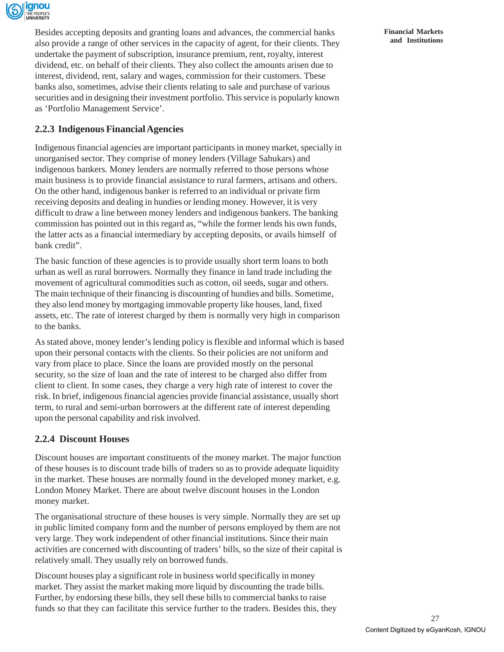

Besides accepting deposits and granting loans and advances, the commercial banks also provide a range of other services in the capacity of agent, for their clients. They undertake the payment of subscription, insurance premium, rent, royalty, interest dividend, etc. on behalf of their clients. They also collect the amounts arisen due to interest, dividend, rent, salary and wages, commission for their customers. These banks also, sometimes, advise their clients relating to sale and purchase of various securities and in designing their investment portfolio. This service is popularly known as 'Portfolio Management Service'.

## **2.2.3 Indigenous Financial Agencies**

Indigenous financial agencies are important participants in money market, specially in unorganised sector. They comprise of money lenders (Village Sahukars) and indigenous bankers. Money lenders are normally referred to those persons whose main business is to provide financial assistance to rural farmers, artisans and others. On the other hand, indigenous banker is referred to an individual or private firm receiving deposits and dealing in hundies or lending money. However, it is very difficult to draw a line between money lenders and indigenous bankers. The banking commission has pointed out in this regard as, "while the former lends his own funds, the latter acts as a financial intermediary by accepting deposits, or avails himself of bank credit".

The basic function of these agencies is to provide usually short term loans to both urban as well as rural borrowers. Normally they finance in land trade including the movement of agricultural commodities such as cotton, oil seeds, sugar and others. The main technique of their financing is discounting of hundies and bills. Sometime, they also lend money by mortgaging immovable property like houses, land, fixed assets, etc. The rate of interest charged by them is normally very high in comparison to the banks.

As stated above, money lender's lending policy is flexible and informal which is based upon their personal contacts with the clients. So their policies are not uniform and vary from place to place. Since the loans are provided mostly on the personal security, so the size of loan and the rate of interest to be charged also differ from client to client. In some cases, they charge a very high rate of interest to cover the risk. In brief, indigenous financial agencies provide financial assistance, usually short term, to rural and semi-urban borrowers at the different rate of interest depending upon the personal capability and risk involved.

## **2.2.4 Discount Houses**

Discount houses are important constituents of the money market. The major function of these houses is to discount trade bills of traders so as to provide adequate liquidity in the market. These houses are normally found in the developed money market, e.g. London Money Market. There are about twelve discount houses in the London money market.

The organisational structure of these houses is very simple. Normally they are set up in public limited company form and the number of persons employed by them are not very large. They work independent of other financial institutions. Since their main activities are concerned with discounting of traders' bills, so the size of their capital is relatively small. They usually rely on borrowed funds.

Discount houses play a significant role in business world specifically in money market. They assist the market making more liquid by discounting the trade bills. Further, by endorsing these bills, they sell these bills to commercial banks to raise funds so that they can facilitate this service further to the traders. Besides this, they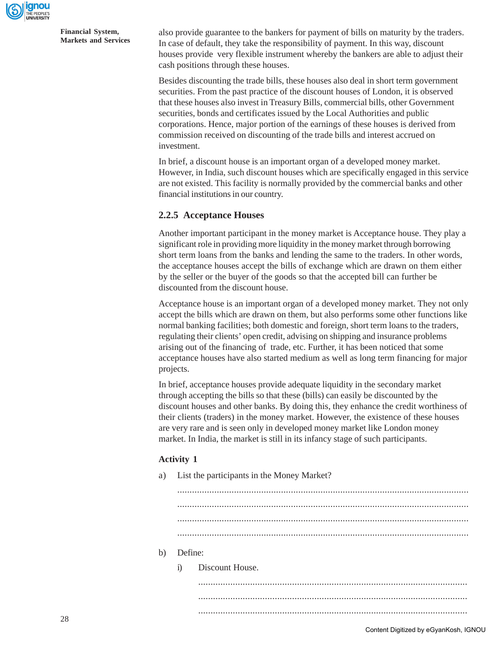

also provide guarantee to the bankers for payment of bills on maturity by the traders. In case of default, they take the responsibility of payment. In this way, discount houses provide very flexible instrument whereby the bankers are able to adjust their cash positions through these houses.

Besides discounting the trade bills, these houses also deal in short term government securities. From the past practice of the discount houses of London, it is observed that these houses also invest in Treasury Bills, commercial bills, other Government securities, bonds and certificates issued by the Local Authorities and public corporations. Hence, major portion of the earnings of these houses is derived from commission received on discounting of the trade bills and interest accrued on investment.

In brief, a discount house is an important organ of a developed money market. However, in India, such discount houses which are specifically engaged in this service are not existed. This facility is normally provided by the commercial banks and other financial institutions in our country.

### **2.2.5 Acceptance Houses**

Another important participant in the money market is Acceptance house. They play a significant role in providing more liquidity in the money market through borrowing short term loans from the banks and lending the same to the traders. In other words, the acceptance houses accept the bills of exchange which are drawn on them either by the seller or the buyer of the goods so that the accepted bill can further be discounted from the discount house.

Acceptance house is an important organ of a developed money market. They not only accept the bills which are drawn on them, but also performs some other functions like normal banking facilities; both domestic and foreign, short term loans to the traders, regulating their clients' open credit, advising on shipping and insurance problems arising out of the financing of trade, etc. Further, it has been noticed that some acceptance houses have also started medium as well as long term financing for major projects.

In brief, acceptance houses provide adequate liquidity in the secondary market through accepting the bills so that these (bills) can easily be discounted by the discount houses and other banks. By doing this, they enhance the credit worthiness of their clients (traders) in the money market. However, the existence of these houses are very rare and is seen only in developed money market like London money market. In India, the market is still in its infancy stage of such participants.

#### **Activity 1**

| a) | List the participants in the Money Market? |                 |  |  |  |  |
|----|--------------------------------------------|-----------------|--|--|--|--|
|    |                                            |                 |  |  |  |  |
|    |                                            |                 |  |  |  |  |
|    |                                            |                 |  |  |  |  |
|    |                                            |                 |  |  |  |  |
| b) | Define:                                    |                 |  |  |  |  |
|    | $\ddot{1}$                                 | Discount House. |  |  |  |  |
|    |                                            |                 |  |  |  |  |
|    |                                            |                 |  |  |  |  |
|    |                                            |                 |  |  |  |  |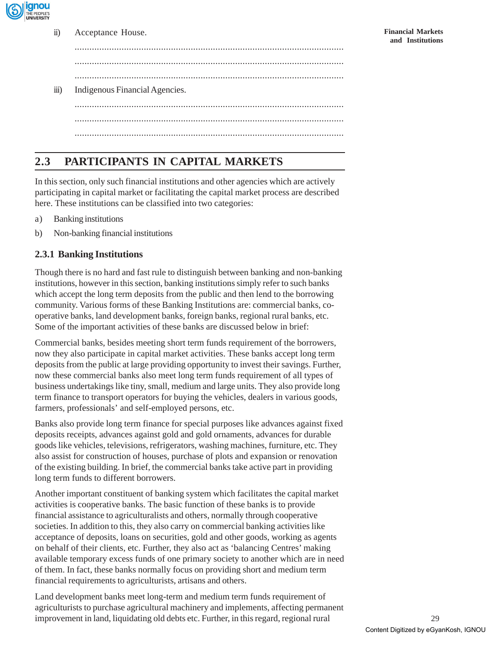

ii) Acceptance House.

............................................................................................................. ............................................................................................................. ............................................................................................................. iii) Indigenous Financial Agencies. ............................................................................................................. ............................................................................................................. .............................................................................................................

## **2.3 PARTICIPANTS IN CAPITAL MARKETS**

In this section, only such financial institutions and other agencies which are actively participating in capital market or facilitating the capital market process are described here. These institutions can be classified into two categories:

- a) Banking institutions
- b) Non-banking financial institutions

## **2.3.1 Banking Institutions**

Though there is no hard and fast rule to distinguish between banking and non-banking institutions, however in this section, banking institutions simply refer to such banks which accept the long term deposits from the public and then lend to the borrowing community. Various forms of these Banking Institutions are: commercial banks, cooperative banks, land development banks, foreign banks, regional rural banks, etc. Some of the important activities of these banks are discussed below in brief:

Commercial banks, besides meeting short term funds requirement of the borrowers, now they also participate in capital market activities. These banks accept long term deposits from the public at large providing opportunity to invest their savings. Further, now these commercial banks also meet long term funds requirement of all types of business undertakings like tiny, small, medium and large units. They also provide long term finance to transport operators for buying the vehicles, dealers in various goods, farmers, professionals' and self-employed persons, etc.

Banks also provide long term finance for special purposes like advances against fixed deposits receipts, advances against gold and gold ornaments, advances for durable goods like vehicles, televisions, refrigerators, washing machines, furniture, etc. They also assist for construction of houses, purchase of plots and expansion or renovation of the existing building. In brief, the commercial banks take active part in providing long term funds to different borrowers.

Another important constituent of banking system which facilitates the capital market activities is cooperative banks. The basic function of these banks is to provide financial assistance to agriculturalists and others, normally through cooperative societies. In addition to this, they also carry on commercial banking activities like acceptance of deposits, loans on securities, gold and other goods, working as agents on behalf of their clients, etc. Further, they also act as 'balancing Centres' making available temporary excess funds of one primary society to another which are in need of them. In fact, these banks normally focus on providing short and medium term financial requirements to agriculturists, artisans and others.

Land development banks meet long-term and medium term funds requirement of agriculturists to purchase agricultural machinery and implements, affecting permanent improvement in land, liquidating old debts etc. Further, in this regard, regional rural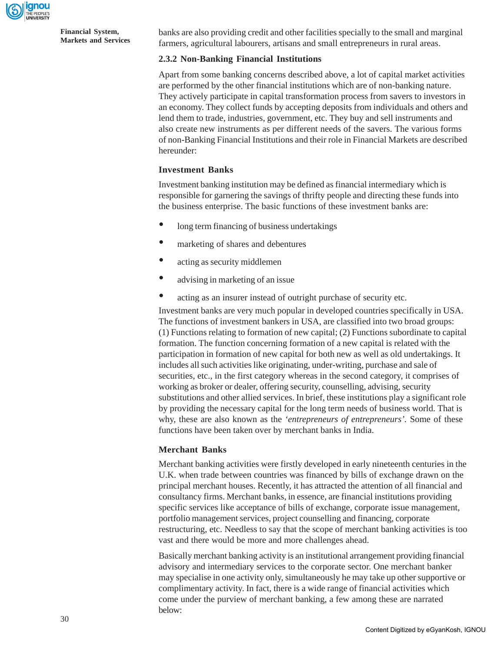

banks are also providing credit and other facilities specially to the small and marginal farmers, agricultural labourers, artisans and small entrepreneurs in rural areas.

### **2.3.2 Non-Banking Financial Institutions**

Apart from some banking concerns described above, a lot of capital market activities are performed by the other financial institutions which are of non-banking nature. They actively participate in capital transformation process from savers to investors in an economy. They collect funds by accepting deposits from individuals and others and lend them to trade, industries, government, etc. They buy and sell instruments and also create new instruments as per different needs of the savers. The various forms of non-Banking Financial Institutions and their role in Financial Markets are described hereunder:

### **Investment Banks**

Investment banking institution may be defined as financial intermediary which is responsible for garnering the savings of thrifty people and directing these funds into the business enterprise. The basic functions of these investment banks are:

- long term financing of business undertakings
- marketing of shares and debentures
- acting as security middlemen
- advising in marketing of an issue
- acting as an insurer instead of outright purchase of security etc.

Investment banks are very much popular in developed countries specifically in USA. The functions of investment bankers in USA, are classified into two broad groups: (1) Functions relating to formation of new capital; (2) Functions subordinate to capital formation. The function concerning formation of a new capital is related with the participation in formation of new capital for both new as well as old undertakings. It includes all such activities like originating, under-writing, purchase and sale of securities, etc., in the first category whereas in the second category, it comprises of working as broker or dealer, offering security, counselling, advising, security substitutions and other allied services. In brief, these institutions play a significant role by providing the necessary capital for the long term needs of business world. That is why, these are also known as the *'entrepreneurs of entrepreneurs'.* Some of these functions have been taken over by merchant banks in India.

#### **Merchant Banks**

Merchant banking activities were firstly developed in early nineteenth centuries in the U.K. when trade between countries was financed by bills of exchange drawn on the principal merchant houses. Recently, it has attracted the attention of all financial and consultancy firms. Merchant banks, in essence, are financial institutions providing specific services like acceptance of bills of exchange, corporate issue management, portfolio management services, project counselling and financing, corporate restructuring, etc. Needless to say that the scope of merchant banking activities is too vast and there would be more and more challenges ahead.

Basically merchant banking activity is an institutional arrangement providing financial advisory and intermediary services to the corporate sector. One merchant banker may specialise in one activity only, simultaneously he may take up other supportive or complimentary activity. In fact, there is a wide range of financial activities which come under the purview of merchant banking, a few among these are narrated below: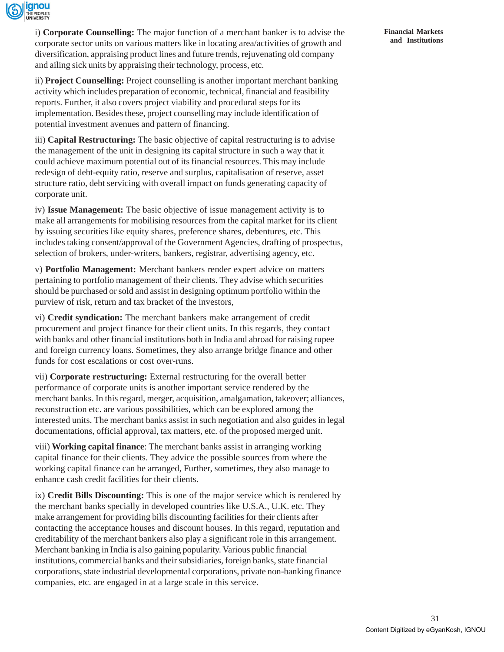

i) **Corporate Counselling:** The major function of a merchant banker is to advise the corporate sector units on various matters like in locating area/activities of growth and diversification, appraising product lines and future trends, rejuvenating old company and ailing sick units by appraising their technology, process, etc.

ii) **Project Counselling:** Project counselling is another important merchant banking activity which includes preparation of economic, technical, financial and feasibility reports. Further, it also covers project viability and procedural steps for its implementation. Besides these, project counselling may include identification of potential investment avenues and pattern of financing.

iii) **Capital Restructuring:** The basic objective of capital restructuring is to advise the management of the unit in designing its capital structure in such a way that it could achieve maximum potential out of its financial resources. This may include redesign of debt-equity ratio, reserve and surplus, capitalisation of reserve, asset structure ratio, debt servicing with overall impact on funds generating capacity of corporate unit.

iv) **Issue Management:** The basic objective of issue management activity is to make all arrangements for mobilising resources from the capital market for its client by issuing securities like equity shares, preference shares, debentures, etc. This includes taking consent/approval of the Government Agencies, drafting of prospectus, selection of brokers, under-writers, bankers, registrar, advertising agency, etc.

v) **Portfolio Management:** Merchant bankers render expert advice on matters pertaining to portfolio management of their clients. They advise which securities should be purchased or sold and assist in designing optimum portfolio within the purview of risk, return and tax bracket of the investors,

vi) **Credit syndication:** The merchant bankers make arrangement of credit procurement and project finance for their client units. In this regards, they contact with banks and other financial institutions both in India and abroad for raising rupee and foreign currency loans. Sometimes, they also arrange bridge finance and other funds for cost escalations or cost over-runs.

vii) **Corporate restructuring:** External restructuring for the overall better performance of corporate units is another important service rendered by the merchant banks. In this regard, merger, acquisition, amalgamation, takeover; alliances, reconstruction etc. are various possibilities, which can be explored among the interested units. The merchant banks assist in such negotiation and also guides in legal documentations, official approval, tax matters, etc. of the proposed merged unit.

viii) **Working capital finance**: The merchant banks assist in arranging working capital finance for their clients. They advice the possible sources from where the working capital finance can be arranged, Further, sometimes, they also manage to enhance cash credit facilities for their clients.

ix) **Credit Bills Discounting:** This is one of the major service which is rendered by the merchant banks specially in developed countries like U.S.A., U.K. etc. They make arrangement for providing bills discounting facilities for their clients after contacting the acceptance houses and discount houses. In this regard, reputation and creditability of the merchant bankers also play a significant role in this arrangement. Merchant banking in India is also gaining popularity. Various public financial institutions, commercial banks and their subsidiaries, foreign banks, state financial corporations, state industrial developmental corporations, private non-banking finance companies, etc. are engaged in at a large scale in this service.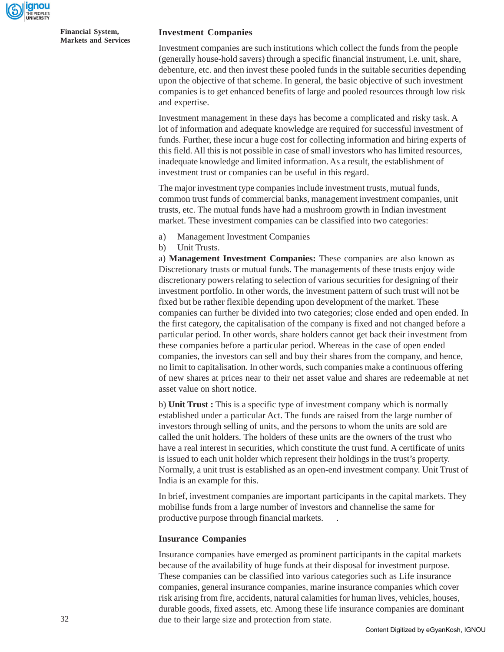

#### **Investment Companies**

Investment companies are such institutions which collect the funds from the people (generally house-hold savers) through a specific financial instrument, i.e. unit, share, debenture, etc. and then invest these pooled funds in the suitable securities depending upon the objective of that scheme. In general, the basic objective of such investment companies is to get enhanced benefits of large and pooled resources through low risk and expertise.

Investment management in these days has become a complicated and risky task. A lot of information and adequate knowledge are required for successful investment of funds. Further, these incur a huge cost for collecting information and hiring experts of this field. All this is not possible in case of small investors who has limited resources, inadequate knowledge and limited information. As a result, the establishment of investment trust or companies can be useful in this regard.

The major investment type companies include investment trusts, mutual funds, common trust funds of commercial banks, management investment companies, unit trusts, etc. The mutual funds have had a mushroom growth in Indian investment market. These investment companies can be classified into two categories:

- a) Management Investment Companies
- b) Unit Trusts.

a) **Management Investment Companies:** These companies are also known as Discretionary trusts or mutual funds. The managements of these trusts enjoy wide discretionary powers relating to selection of various securities for designing of their investment portfolio. In other words, the investment pattern of such trust will not be fixed but be rather flexible depending upon development of the market. These companies can further be divided into two categories; close ended and open ended. In the first category, the capitalisation of the company is fixed and not changed before a particular period. In other words, share holders cannot get back their investment from these companies before a particular period. Whereas in the case of open ended companies, the investors can sell and buy their shares from the company, and hence, no limit to capitalisation. In other words, such companies make a continuous offering of new shares at prices near to their net asset value and shares are redeemable at net asset value on short notice.

b) **Unit Trust :** This is a specific type of investment company which is normally established under a particular Act. The funds are raised from the large number of investors through selling of units, and the persons to whom the units are sold are called the unit holders. The holders of these units are the owners of the trust who have a real interest in securities, which constitute the trust fund. A certificate of units is issued to each unit holder which represent their holdings in the trust's property. Normally, a unit trust is established as an open-end investment company. Unit Trust of India is an example for this.

In brief, investment companies are important participants in the capital markets. They mobilise funds from a large number of investors and channelise the same for productive purpose through financial markets. .

#### **Insurance Companies**

Insurance companies have emerged as prominent participants in the capital markets because of the availability of huge funds at their disposal for investment purpose. These companies can be classified into various categories such as Life insurance companies, general insurance companies, marine insurance companies which cover risk arising from fire, accidents, natural calamities for human lives, vehicles, houses, durable goods, fixed assets, etc. Among these life insurance companies are dominant due to their large size and protection from state.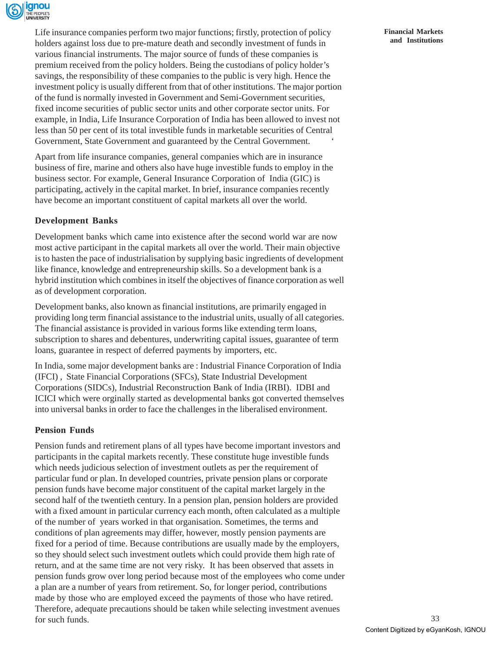

Life insurance companies perform two major functions; firstly, protection of policy holders against loss due to pre-mature death and secondly investment of funds in various financial instruments. The major source of funds of these companies is premium received from the policy holders. Being the custodians of policy holder's savings, the responsibility of these companies to the public is very high. Hence the investment policy is usually different from that of other institutions. The major portion of the fund is normally invested in Government and Semi-Government securities, fixed income securities of public sector units and other corporate sector units. For example, in India, Life Insurance Corporation of India has been allowed to invest not less than 50 per cent of its total investible funds in marketable securities of Central Government, State Government and guaranteed by the Central Government. '

Apart from life insurance companies, general companies which are in insurance business of fire, marine and others also have huge investible funds to employ in the business sector. For example, General Insurance Corporation of India (GIC) is participating, actively in the capital market. In brief, insurance companies recently have become an important constituent of capital markets all over the world.

### **Development Banks**

Development banks which came into existence after the second world war are now most active participant in the capital markets all over the world. Their main objective is to hasten the pace of industrialisation by supplying basic ingredients of development like finance, knowledge and entrepreneurship skills. So a development bank is a hybrid institution which combines in itself the objectives of finance corporation as well as of development corporation.

Development banks, also known as financial institutions, are primarily engaged in providing long term financial assistance to the industrial units, usually of all categories. The financial assistance is provided in various forms like extending term loans, subscription to shares and debentures, underwriting capital issues, guarantee of term loans, guarantee in respect of deferred payments by importers, etc.

In India, some major development banks are : Industrial Finance Corporation of India (IFCI) , State Financial Corporations (SFCs), State Industrial Development Corporations (SIDCs), Industrial Reconstruction Bank of India (IRBI). IDBI and ICICI which were orginally started as developmental banks got converted themselves into universal banks in order to face the challenges in the liberalised environment.

#### **Pension Funds**

Pension funds and retirement plans of all types have become important investors and participants in the capital markets recently. These constitute huge investible funds which needs judicious selection of investment outlets as per the requirement of particular fund or plan. In developed countries, private pension plans or corporate pension funds have become major constituent of the capital market largely in the second half of the twentieth century. In a pension plan, pension holders are provided with a fixed amount in particular currency each month, often calculated as a multiple of the number of years worked in that organisation. Sometimes, the terms and conditions of plan agreements may differ, however, mostly pension payments are fixed for a period of time. Because contributions are usually made by the employers, so they should select such investment outlets which could provide them high rate of return, and at the same time are not very risky. It has been observed that assets in pension funds grow over long period because most of the employees who come under a plan are a number of years from retirement. So, for longer period, contributions made by those who are employed exceed the payments of those who have retired. Therefore, adequate precautions should be taken while selecting investment avenues for such funds.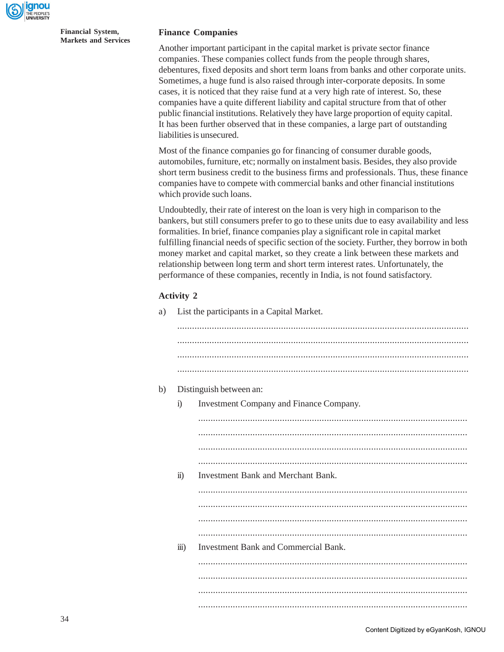

#### **Finance Companies**

Another important participant in the capital market is private sector finance companies. These companies collect funds from the people through shares, debentures, fixed deposits and short term loans from banks and other corporate units. Sometimes, a huge fund is also raised through inter-corporate deposits. In some cases, it is noticed that they raise fund at a very high rate of interest. So, these companies have a quite different liability and capital structure from that of other public financial institutions. Relatively they have large proportion of equity capital. It has been further observed that in these companies, a large part of outstanding liabilities is unsecured.

Most of the finance companies go for financing of consumer durable goods, automobiles, furniture, etc; normally on instalment basis. Besides, they also provide short term business credit to the business firms and professionals. Thus, these finance companies have to compete with commercial banks and other financial institutions which provide such loans.

Undoubtedly, their rate of interest on the loan is very high in comparison to the bankers, but still consumers prefer to go to these units due to easy availability and less formalities. In brief, finance companies play a significant role in capital market fulfilling financial needs of specific section of the society. Further, they borrow in both money market and capital market, so they create a link between these markets and relationship between long term and short term interest rates. Unfortunately, the performance of these companies, recently in India, is not found satisfactory.

#### **Activity 2**

| a) | List the participants in a Capital Market. |  |  |
|----|--------------------------------------------|--|--|
|    |                                            |  |  |

| b)<br>Distinguish between an: |                       |                                         |  |
|-------------------------------|-----------------------|-----------------------------------------|--|
|                               | $\ddot{i}$            | Investment Company and Finance Company. |  |
|                               |                       |                                         |  |
|                               |                       |                                         |  |
|                               |                       |                                         |  |
|                               |                       |                                         |  |
|                               | $\ddot{\textbf{i}}$   | Investment Bank and Merchant Bank.      |  |
|                               |                       |                                         |  |
|                               |                       |                                         |  |
|                               |                       |                                         |  |
|                               |                       |                                         |  |
|                               | $\dddot{\text{iii}})$ | Investment Bank and Commercial Bank.    |  |
|                               |                       |                                         |  |
|                               |                       |                                         |  |
|                               |                       |                                         |  |
|                               |                       |                                         |  |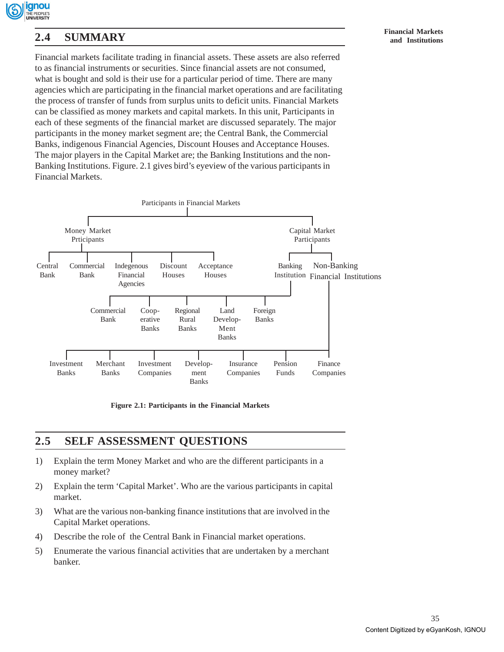

# **Financial Markets 2.4 SUMMARY and Institutions**

Financial markets facilitate trading in financial assets. These assets are also referred to as financial instruments or securities. Since financial assets are not consumed, what is bought and sold is their use for a particular period of time. There are many agencies which are participating in the financial market operations and are facilitating the process of transfer of funds from surplus units to deficit units. Financial Markets can be classified as money markets and capital markets. In this unit, Participants in each of these segments of the financial market are discussed separately. The major participants in the money market segment are; the Central Bank, the Commercial Banks, indigenous Financial Agencies, Discount Houses and Acceptance Houses. The major players in the Capital Market are; the Banking Institutions and the non-Banking Institutions. Figure. 2.1 gives bird's eyeview of the various participants in Financial Markets.



**Figure 2.1: Participants in the Financial Markets**

## **2.5 SELF ASSESSMENT QUESTIONS**

- 1) Explain the term Money Market and who are the different participants in a money market?
- 2) Explain the term 'Capital Market'. Who are the various participants in capital market.
- 3) What are the various non-banking finance institutions that are involved in the Capital Market operations.
- 4) Describe the role of the Central Bank in Financial market operations.
- 5) Enumerate the various financial activities that are undertaken by a merchant banker.